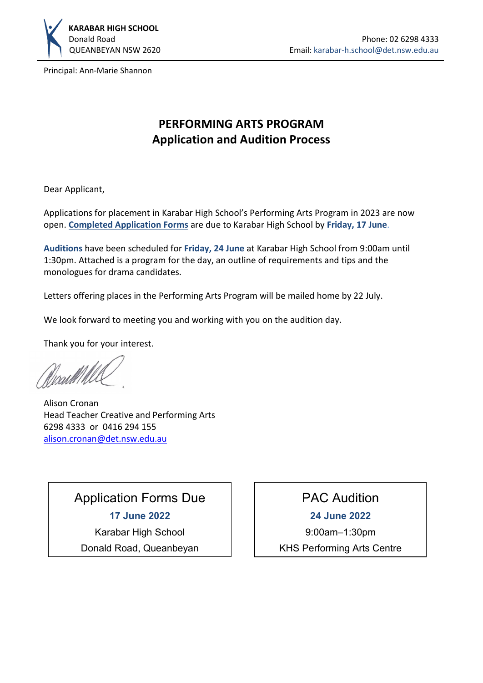

Principal: Ann-Marie Shannon

# **PERFORMING ARTS PROGRAM Application and Audition Process**

Dear Applicant,

Applications for placement in Karabar High School's Performing Arts Program in 2023 are now open. **[Completed Application Forms](https://karabar-h.schools.nsw.gov.au/content/dam/doe/sws/schools/k/karabar-h/download-box/2023_PAC_Program_Application_Form.pdf)** are due to Karabar High School by **Friday, 17 June**.

**Auditions** have been scheduled for **Friday, 24 June** at Karabar High School from 9:00am until 1:30pm. Attached is a program for the day, an outline of requirements and tips and the monologues for drama candidates.

Letters offering places in the Performing Arts Program will be mailed home by 22 July.

We look forward to meeting you and working with you on the audition day.

Thank you for your interest.

fixartil h

Alison Cronan Head Teacher Creative and Performing Arts 6298 4333 or 0416 294 155 [alison.cronan@det.nsw.edu.au](mailto:alison.cronan@det.nsw.edu.au)

# Application Forms Due

**17 June 2022** Karabar High School

Donald Road, Queanbeyan

# PAC Audition

**24 June 2022**

9:00am–1:30pm

KHS Performing Arts Centre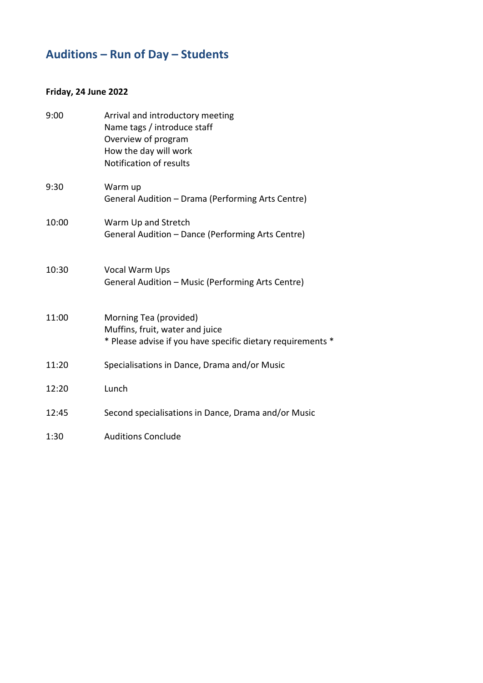# **Auditions – Run of Day – Students**

### **Friday, 24 June 2022**

| 9:00  | Arrival and introductory meeting<br>Name tags / introduce staff<br>Overview of program<br>How the day will work<br>Notification of results |
|-------|--------------------------------------------------------------------------------------------------------------------------------------------|
| 9:30  | Warm up<br>General Audition - Drama (Performing Arts Centre)                                                                               |
| 10:00 | Warm Up and Stretch<br>General Audition - Dance (Performing Arts Centre)                                                                   |
| 10:30 | Vocal Warm Ups<br>General Audition - Music (Performing Arts Centre)                                                                        |
| 11:00 | Morning Tea (provided)<br>Muffins, fruit, water and juice<br>* Please advise if you have specific dietary requirements *                   |
| 11:20 | Specialisations in Dance, Drama and/or Music                                                                                               |
| 12:20 | Lunch                                                                                                                                      |
| 12:45 | Second specialisations in Dance, Drama and/or Music                                                                                        |
| 1:30  | <b>Auditions Conclude</b>                                                                                                                  |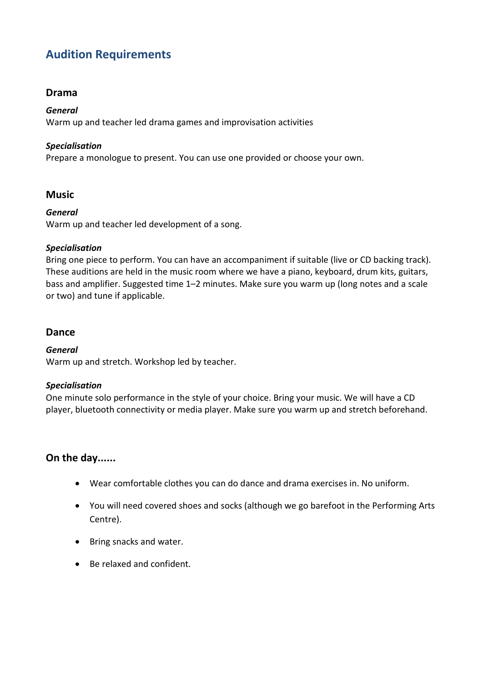## **Audition Requirements**

### **Drama**

#### *General*

Warm up and teacher led drama games and improvisation activities

#### *Specialisation*

Prepare a monologue to present. You can use one provided or choose your own.

### **Music**

#### *General*

Warm up and teacher led development of a song.

#### *Specialisation*

Bring one piece to perform. You can have an accompaniment if suitable (live or CD backing track). These auditions are held in the music room where we have a piano, keyboard, drum kits, guitars, bass and amplifier. Suggested time 1–2 minutes. Make sure you warm up (long notes and a scale or two) and tune if applicable.

### **Dance**

#### *General*

Warm up and stretch. Workshop led by teacher.

#### *Specialisation*

One minute solo performance in the style of your choice. Bring your music. We will have a CD player, bluetooth connectivity or media player. Make sure you warm up and stretch beforehand.

### **On the day......**

- Wear comfortable clothes you can do dance and drama exercises in. No uniform.
- You will need covered shoes and socks (although we go barefoot in the Performing Arts Centre).
- Bring snacks and water.
- Be relaxed and confident.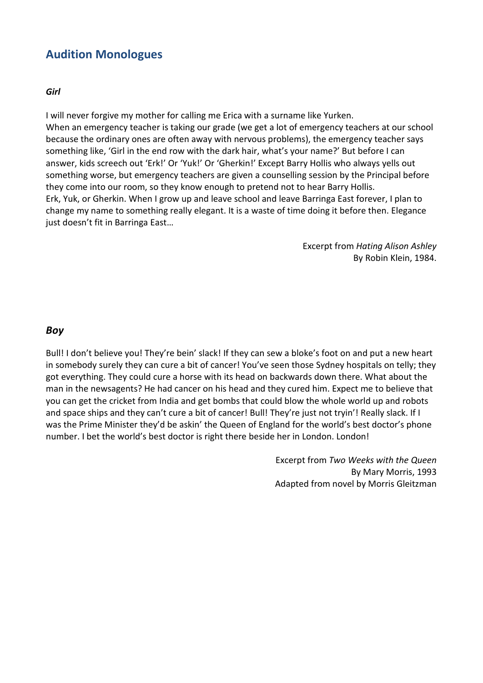### **Audition Monologues**

#### *Girl*

I will never forgive my mother for calling me Erica with a surname like Yurken. When an emergency teacher is taking our grade (we get a lot of emergency teachers at our school because the ordinary ones are often away with nervous problems), the emergency teacher says something like, 'Girl in the end row with the dark hair, what's your name?' But before I can answer, kids screech out 'Erk!' Or 'Yuk!' Or 'Gherkin!' Except Barry Hollis who always yells out something worse, but emergency teachers are given a counselling session by the Principal before they come into our room, so they know enough to pretend not to hear Barry Hollis. Erk, Yuk, or Gherkin. When I grow up and leave school and leave Barringa East forever, I plan to change my name to something really elegant. It is a waste of time doing it before then. Elegance just doesn't fit in Barringa East…

> Excerpt from *Hating Alison Ashley* By Robin Klein, 1984.

### *Boy*

Bull! I don't believe you! They're bein' slack! If they can sew a bloke's foot on and put a new heart in somebody surely they can cure a bit of cancer! You've seen those Sydney hospitals on telly; they got everything. They could cure a horse with its head on backwards down there. What about the man in the newsagents? He had cancer on his head and they cured him. Expect me to believe that you can get the cricket from India and get bombs that could blow the whole world up and robots and space ships and they can't cure a bit of cancer! Bull! They're just not tryin'! Really slack. If I was the Prime Minister they'd be askin' the Queen of England for the world's best doctor's phone number. I bet the world's best doctor is right there beside her in London. London!

> Excerpt from *Two Weeks with the Queen* By Mary Morris, 1993 Adapted from novel by Morris Gleitzman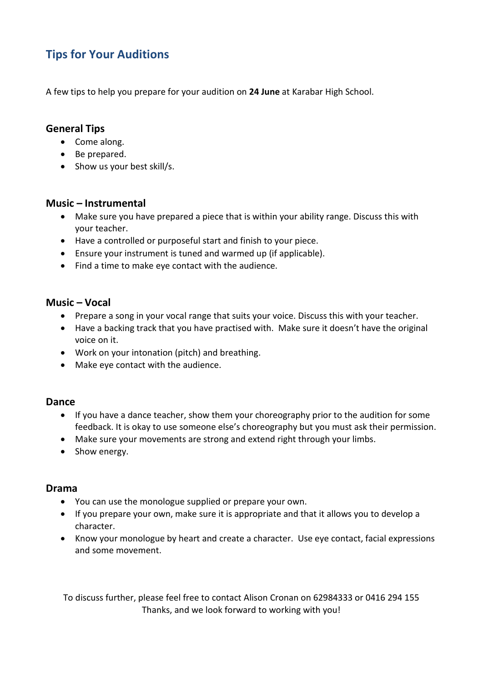## **Tips for Your Auditions**

A few tips to help you prepare for your audition on **24 June** at Karabar High School.

### **General Tips**

- Come along.
- Be prepared.
- Show us your best skill/s.

### **Music – Instrumental**

- Make sure you have prepared a piece that is within your ability range. Discuss this with your teacher.
- Have a controlled or purposeful start and finish to your piece.
- Ensure your instrument is tuned and warmed up (if applicable).
- Find a time to make eye contact with the audience.

### **Music – Vocal**

- Prepare a song in your vocal range that suits your voice. Discuss this with your teacher.
- Have a backing track that you have practised with. Make sure it doesn't have the original voice on it.
- Work on your intonation (pitch) and breathing.
- Make eye contact with the audience.

### **Dance**

- If you have a dance teacher, show them your choreography prior to the audition for some feedback. It is okay to use someone else's choreography but you must ask their permission.
- Make sure your movements are strong and extend right through your limbs.
- Show energy.

### **Drama**

- You can use the monologue supplied or prepare your own.
- If you prepare your own, make sure it is appropriate and that it allows you to develop a character.
- Know your monologue by heart and create a character. Use eye contact, facial expressions and some movement.

To discuss further, please feel free to contact Alison Cronan on 62984333 or 0416 294 155 Thanks, and we look forward to working with you!